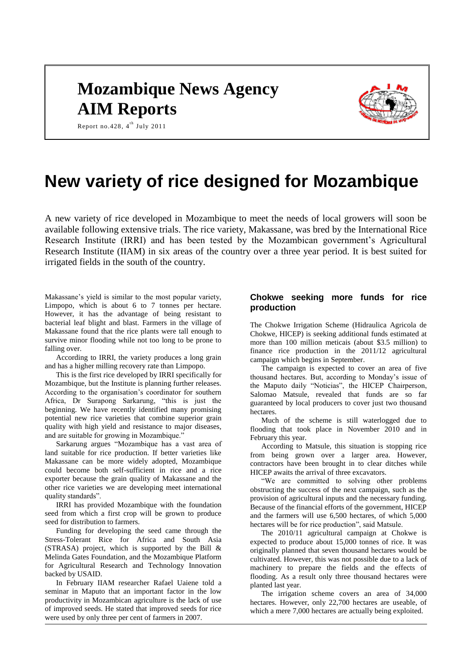# **Mozambique News Agency AIM Reports**



Report no. 428,  $4^{\text{th}}$  July 2011

# **New variety of rice designed for Mozambique**

A new variety of rice developed in Mozambique to meet the needs of local growers will soon be available following extensive trials. The rice variety, Makassane, was bred by the International Rice Research Institute (IRRI) and has been tested by the Mozambican government's Agricultural Research Institute (IIAM) in six areas of the country over a three year period. It is best suited for irrigated fields in the south of the country.

Makassane's yield is similar to the most popular variety, Limpopo, which is about 6 to 7 tonnes per hectare. However, it has the advantage of being resistant to bacterial leaf blight and blast. Farmers in the village of Makassane found that the rice plants were tall enough to survive minor flooding while not too long to be prone to falling over.

According to IRRI, the variety produces a long grain and has a higher milling recovery rate than Limpopo.

This is the first rice developed by IRRI specifically for Mozambique, but the Institute is planning further releases. According to the organisation's coordinator for southern Africa, Dr Surapong Sarkarung, "this is just the beginning. We have recently identified many promising potential new rice varieties that combine superior grain quality with high yield and resistance to major diseases, and are suitable for growing in Mozambique.'

Sarkarung argues "Mozambique has a vast area of land suitable for rice production. If better varieties like Makassane can be more widely adopted, Mozambique could become both self-sufficient in rice and a rice exporter because the grain quality of Makassane and the other rice varieties we are developing meet international quality standards".

IRRI has provided Mozambique with the foundation seed from which a first crop will be grown to produce seed for distribution to farmers.

Funding for developing the seed came through the Stress-Tolerant Rice for Africa and South Asia (STRASA) project, which is supported by the Bill  $\&$ Melinda Gates Foundation, and the Mozambique Platform for Agricultural Research and Technology Innovation backed by USAID.

In February IIAM researcher Rafael Uaiene told a seminar in Maputo that an important factor in the low productivity in Mozambican agriculture is the lack of use of improved seeds. He stated that improved seeds for rice were used by only three per cent of farmers in 2007.

# **Chokwe seeking more funds for rice production**

The Chokwe Irrigation Scheme (Hidraulica Agricola de Chokwe, HICEP) is seeking additional funds estimated at more than 100 million meticais (about \$3.5 million) to finance rice production in the 2011/12 agricultural campaign which begins in September.

The campaign is expected to cover an area of five thousand hectares. But, according to Monday's issue of the Maputo daily "Noticias", the HICEP Chairperson, Salomao Matsule, revealed that funds are so far guaranteed by local producers to cover just two thousand hectares.

Much of the scheme is still waterlogged due to flooding that took place in November 2010 and in February this year.

According to Matsule, this situation is stopping rice from being grown over a larger area. However, contractors have been brought in to clear ditches while HICEP awaits the arrival of three excavators.

"We are committed to solving other problems obstructing the success of the next campaign, such as the provision of agricultural inputs and the necessary funding. Because of the financial efforts of the government, HICEP and the farmers will use 6,500 hectares, of which 5,000 hectares will be for rice production", said Matsule.

The 2010/11 agricultural campaign at Chokwe is expected to produce about 15,000 tonnes of rice. It was originally planned that seven thousand hectares would be cultivated. However, this was not possible due to a lack of machinery to prepare the fields and the effects of flooding. As a result only three thousand hectares were planted last year.

The irrigation scheme covers an area of 34,000 hectares. However, only 22,700 hectares are useable, of which a mere 7,000 hectares are actually being exploited.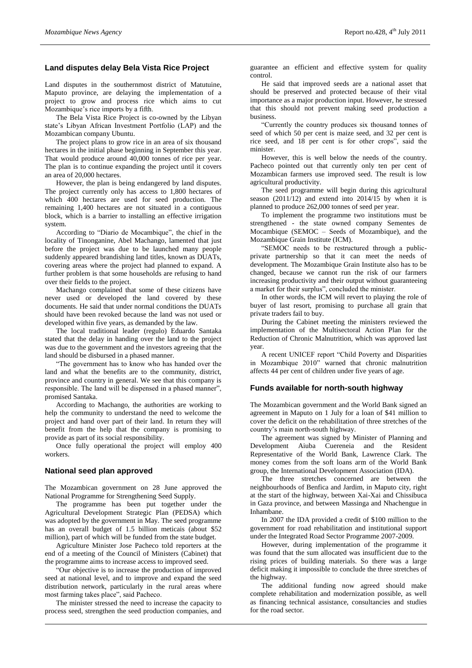# **Land disputes delay Bela Vista Rice Project**

Land disputes in the southernmost district of Matutuine, Maputo province, are delaying the implementation of a project to grow and process rice which aims to cut Mozambique's rice imports by a fifth.

The Bela Vista Rice Project is co-owned by the Libyan state's Libyan African Investment Portfolio (LAP) and the Mozambican company Ubuntu.

The project plans to grow rice in an area of six thousand hectares in the initial phase beginning in September this year. That would produce around 40,000 tonnes of rice per year. The plan is to continue expanding the project until it covers an area of 20,000 hectares.

However, the plan is being endangered by land disputes. The project currently only has access to 1,800 hectares of which 400 hectares are used for seed production. The remaining 1,400 hectares are not situated in a contiguous block, which is a barrier to installing an effective irrigation system.

According to "Diario de Mocambique", the chief in the locality of Tinonganine, Abel Machango, lamented that just before the project was due to be launched many people suddenly appeared brandishing land titles, known as DUATs, covering areas where the project had planned to expand. A further problem is that some households are refusing to hand over their fields to the project.

Machango complained that some of these citizens have never used or developed the land covered by these documents. He said that under normal conditions the DUATs should have been revoked because the land was not used or developed within five years, as demanded by the law.

The local traditional leader (regulo) Eduardo Santaka stated that the delay in handing over the land to the project was due to the government and the investors agreeing that the land should be disbursed in a phased manner.

"The government has to know who has handed over the land and what the benefits are to the community, district, province and country in general. We see that this company is responsible. The land will be dispensed in a phased manner", promised Santaka.

According to Machango, the authorities are working to help the community to understand the need to welcome the project and hand over part of their land. In return they will benefit from the help that the company is promising to provide as part of its social responsibility.

Once fully operational the project will employ 400 workers.

## **National seed plan approved**

The Mozambican government on 28 June approved the National Programme for Strengthening Seed Supply.

The programme has been put together under the Agricultural Development Strategic Plan (PEDSA) which was adopted by the government in May. The seed programme has an overall budget of 1.5 billion meticais (about \$52 million), part of which will be funded from the state budget.

Agriculture Minister Jose Pacheco told reporters at the end of a meeting of the Council of Ministers (Cabinet) that the programme aims to increase access to improved seed.

"Our objective is to increase the production of improved seed at national level, and to improve and expand the seed distribution network, particularly in the rural areas where most farming takes place", said Pacheco.

The minister stressed the need to increase the capacity to process seed, strengthen the seed production companies, and guarantee an efficient and effective system for quality control.

He said that improved seeds are a national asset that should be preserved and protected because of their vital importance as a major production input. However, he stressed that this should not prevent making seed production a business.

"Currently the country produces six thousand tonnes of seed of which 50 per cent is maize seed, and 32 per cent is rice seed, and 18 per cent is for other crops", said the minister.

However, this is well below the needs of the country. Pacheco pointed out that currently only ten per cent of Mozambican farmers use improved seed. The result is low agricultural productivity.

The seed programme will begin during this agricultural season (2011/12) and extend into 2014/15 by when it is planned to produce 262,000 tonnes of seed per year.

To implement the programme two institutions must be strengthened - the state owned company Sementes de Mocambique (SEMOC – Seeds of Mozambique), and the Mozambique Grain Institute (ICM).

"SEMOC needs to be restructured through a publicprivate partnership so that it can meet the needs of development. The Mozambique Grain Institute also has to be changed, because we cannot run the risk of our farmers increasing productivity and their output without guaranteeing a market for their surplus", concluded the minister.

In other words, the ICM will revert to playing the role of buyer of last resort, promising to purchase all grain that private traders fail to buy.

During the Cabinet meeting the ministers reviewed the implementation of the Multisectoral Action Plan for the Reduction of Chronic Malnutrition, which was approved last year.

A recent UNICEF report "Child Poverty and Disparities in Mozambique 2010" warned that chronic malnutrition affects 44 per cent of children under five years of age.

## **Funds available for north-south highway**

The Mozambican government and the World Bank signed an agreement in Maputo on 1 July for a loan of \$41 million to cover the deficit on the rehabilitation of three stretches of the country's main north-south highway.

The agreement was signed by Minister of Planning and Development Aiuba Cuereneia and the Resident Representative of the World Bank, Lawrence Clark. The money comes from the soft loans arm of the World Bank group, the International Development Association (IDA).

The three stretches concerned are between the neighbourhoods of Benfica and Jardim, in Maputo city, right at the start of the highway, between Xai-Xai and Chissibuca in Gaza province, and between Massinga and Nhachengue in Inhambane.

In 2007 the IDA provided a credit of \$100 million to the government for road rehabilitation and institutional support under the Integrated Road Sector Programme 2007-2009.

However, during implementation of the programme it was found that the sum allocated was insufficient due to the rising prices of building materials. So there was a large deficit making it impossible to conclude the three stretches of the highway.

The additional funding now agreed should make complete rehabilitation and modernization possible, as well as financing technical assistance, consultancies and studies for the road sector.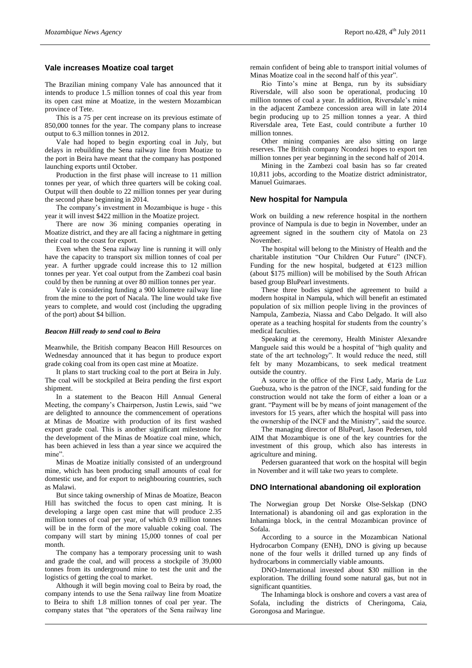## **Vale increases Moatize coal target**

The Brazilian mining company Vale has announced that it intends to produce 1.5 million tonnes of coal this year from its open cast mine at Moatize, in the western Mozambican province of Tete.

This is a 75 per cent increase on its previous estimate of 850,000 tonnes for the year. The company plans to increase output to 6.3 million tonnes in 2012.

Vale had hoped to begin exporting coal in July, but delays in rebuilding the Sena railway line from Moatize to the port in Beira have meant that the company has postponed launching exports until October.

Production in the first phase will increase to 11 million tonnes per year, of which three quarters will be coking coal. Output will then double to 22 million tonnes per year during the second phase beginning in 2014.

The company's investment in Mozambique is huge - this year it will invest \$422 million in the Moatize project.

There are now 36 mining companies operating in Moatize district, and they are all facing a nightmare in getting their coal to the coast for export.

Even when the Sena railway line is running it will only have the capacity to transport six million tonnes of coal per year. A further upgrade could increase this to 12 million tonnes per year. Yet coal output from the Zambezi coal basin could by then be running at over 80 million tonnes per year.

Vale is considering funding a 900 kilometre railway line from the mine to the port of Nacala. The line would take five years to complete, and would cost (including the upgrading of the port) about \$4 billion.

#### *Beacon Hill ready to send coal to Beira*

Meanwhile, the British company Beacon Hill Resources on Wednesday announced that it has begun to produce export grade coking coal from its open cast mine at Moatize.

It plans to start trucking coal to the port at Beira in July. The coal will be stockpiled at Beira pending the first export shipment.

In a statement to the Beacon Hill Annual General Meeting, the company's Chairperson, Justin Lewis, said "we are delighted to announce the commencement of operations at Minas de Moatize with production of its first washed export grade coal. This is another significant milestone for the development of the Minas de Moatize coal mine, which, has been achieved in less than a year since we acquired the mine'

Minas de Moatize initially consisted of an underground mine, which has been producing small amounts of coal for domestic use, and for export to neighbouring countries, such as Malawi.

But since taking ownership of Minas de Moatize, Beacon Hill has switched the focus to open cast mining. It is developing a large open cast mine that will produce 2.35 million tonnes of coal per year, of which 0.9 million tonnes will be in the form of the more valuable coking coal. The company will start by mining 15,000 tonnes of coal per month.

The company has a temporary processing unit to wash and grade the coal, and will process a stockpile of 39,000 tonnes from its underground mine to test the unit and the logistics of getting the coal to market.

Although it will begin moving coal to Beira by road, the company intends to use the Sena railway line from Moatize to Beira to shift 1.8 million tonnes of coal per year. The company states that "the operators of the Sena railway line remain confident of being able to transport initial volumes of Minas Moatize coal in the second half of this year".

Rio Tinto's mine at Benga, run by its subsidiary Riversdale, will also soon be operational, producing 10 million tonnes of coal a year. In addition, Riversdale's mine in the adjacent Zambeze concession area will in late 2014 begin producing up to 25 million tonnes a year. A third Riversdale area, Tete East, could contribute a further 10 million tonnes.

Other mining companies are also sitting on large reserves. The British company Ncondezi hopes to export ten million tonnes per year beginning in the second half of 2014.

Mining in the Zambezi coal basin has so far created 10,811 jobs, according to the Moatize district administrator, Manuel Guimaraes.

### **New hospital for Nampula**

Work on building a new reference hospital in the northern province of Nampula is due to begin in November, under an agreement signed in the southern city of Matola on 23 November.

The hospital will belong to the Ministry of Health and the charitable institution "Our Children Our Future" (INCF). Funding for the new hospital, budgeted at  $£123$  million (about \$175 million) will be mobilised by the South African based group BluPearl investments.

These three bodies signed the agreement to build a modern hospital in Nampula, which will benefit an estimated population of six million people living in the provinces of Nampula, Zambezia, Niassa and Cabo Delgado. It will also operate as a teaching hospital for students from the country's medical faculties.

Speaking at the ceremony, Health Minister Alexandre Manguele said this would be a hospital of "high quality and state of the art technology". It would reduce the need, still felt by many Mozambicans, to seek medical treatment outside the country.

A source in the office of the First Lady, Maria de Luz Guebuza, who is the patron of the INCF, said funding for the construction would not take the form of either a loan or a grant. "Payment will be by means of joint management of the investors for 15 years, after which the hospital will pass into the ownership of the INCF and the Ministry", said the source.

The managing director of BluPearl, Jason Pedersen, told AIM that Mozambique is one of the key countries for the investment of this group, which also has interests in agriculture and mining.

Pedersen guaranteed that work on the hospital will begin in November and it will take two years to complete.

### **DNO International abandoning oil exploration**

The Norwegian group Det Norske Olse-Selskap (DNO International) is abandoning oil and gas exploration in the Inhaminga block, in the central Mozambican province of Sofala.

According to a source in the Mozambican National Hydrocarbon Company (ENH), DNO is giving up because none of the four wells it drilled turned up any finds of hydrocarbons in commercially viable amounts.

DNO-International invested about \$30 million in the exploration. The drilling found some natural gas, but not in significant quantities.

The Inhaminga block is onshore and covers a vast area of Sofala, including the districts of Cheringoma, Caia, Gorongosa and Maringue.